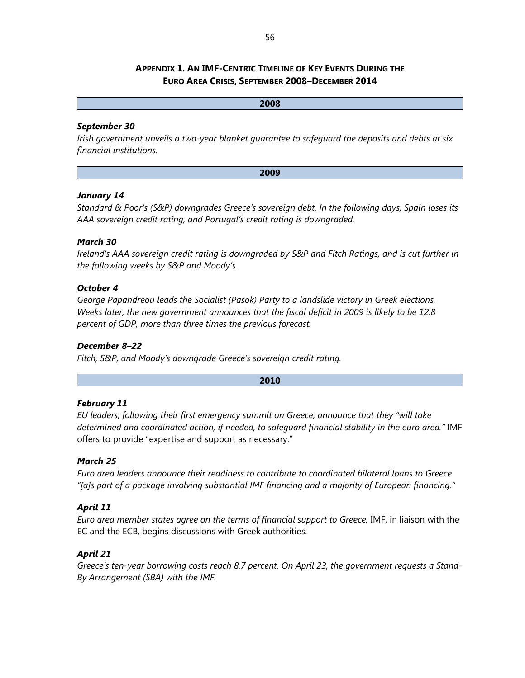### **APPENDIX 1. AN IMF-CENTRIC TIMELINE OF KEY EVENTS DURING THE EURO AREA CRISIS, SEPTEMBER 2008–DECEMBER 2014**

**2008** 

# *September 30*

*Irish government unveils a two-year blanket guarantee to safeguard the deposits and debts at six financial institutions.* 

**2009** 

#### *January 14*

*Standard & Poor's (S&P) downgrades Greece's sovereign debt. In the following days, Spain loses its AAA sovereign credit rating, and Portugal's credit rating is downgraded.* 

#### *March 30*

*Ireland's AAA sovereign credit rating is downgraded by S&P and Fitch Ratings, and is cut further in the following weeks by S&P and Moody's.* 

#### *October 4*

*George Papandreou leads the Socialist (Pasok) Party to a landslide victory in Greek elections. Weeks later, the new government announces that the fiscal deficit in 2009 is likely to be 12.8 percent of GDP, more than three times the previous forecast.* 

#### *December 8–22*

*Fitch, S&P, and Moody's downgrade Greece's sovereign credit rating.* 

**2010** 

#### *February 11*

*EU leaders, following their first emergency summit on Greece, announce that they "will take determined and coordinated action, if needed, to safeguard financial stability in the euro area."* IMF offers to provide "expertise and support as necessary."

#### *March 25*

*Euro area leaders announce their readiness to contribute to coordinated bilateral loans to Greece "[a]s part of a package involving substantial IMF financing and a majority of European financing."* 

#### *April 11*

*Euro area member states agree on the terms of financial support to Greece.* IMF, in liaison with the EC and the ECB, begins discussions with Greek authorities.

#### *April 21*

*Greece's ten-year borrowing costs reach 8.7 percent. On April 23, the government requests a Stand-By Arrangement (SBA) with the IMF.*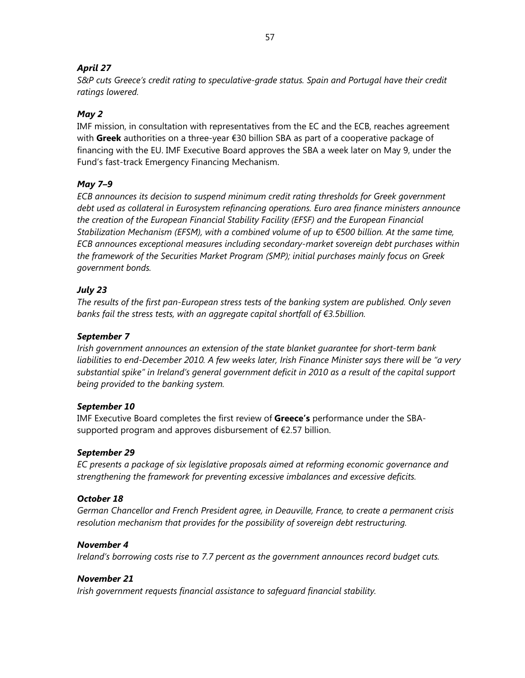## *April 27*

*S&P cuts Greece's credit rating to speculative-grade status. Spain and Portugal have their credit ratings lowered.* 

## *May 2*

IMF mission, in consultation with representatives from the EC and the ECB, reaches agreement with **Greek** authorities on a three-year €30 billion SBA as part of a cooperative package of financing with the EU. IMF Executive Board approves the SBA a week later on May 9, under the Fund's fast-track Emergency Financing Mechanism.

## *May 7–9*

*ECB announces its decision to suspend minimum credit rating thresholds for Greek government debt used as collateral in Eurosystem refinancing operations. Euro area finance ministers announce the creation of the European Financial Stability Facility (EFSF) and the European Financial Stabilization Mechanism (EFSM), with a combined volume of up to €500 billion. At the same time, ECB announces exceptional measures including secondary-market sovereign debt purchases within the framework of the Securities Market Program (SMP); initial purchases mainly focus on Greek government bonds.* 

## *July 23*

*The results of the first pan-European stress tests of the banking system are published. Only seven banks fail the stress tests, with an aggregate capital shortfall of €3.5billion.* 

### *September 7*

*Irish government announces an extension of the state blanket guarantee for short-term bank liabilities to end-December 2010. A few weeks later, Irish Finance Minister says there will be "a very substantial spike" in Ireland's general government deficit in 2010 as a result of the capital support being provided to the banking system.* 

#### *September 10*

IMF Executive Board completes the first review of **Greece's** performance under the SBAsupported program and approves disbursement of €2.57 billion.

#### *September 29*

*EC presents a package of six legislative proposals aimed at reforming economic governance and strengthening the framework for preventing excessive imbalances and excessive deficits.* 

#### *October 18*

*German Chancellor and French President agree, in Deauville, France, to create a permanent crisis resolution mechanism that provides for the possibility of sovereign debt restructuring.* 

#### *November 4*

*Ireland's borrowing costs rise to 7.7 percent as the government announces record budget cuts.* 

#### *November 21*

*Irish government requests financial assistance to safeguard financial stability.*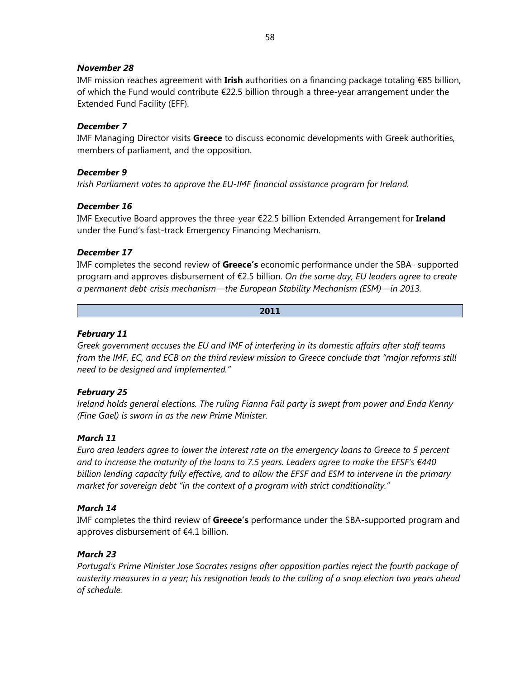#### *November 28*

IMF mission reaches agreement with **Irish** authorities on a financing package totaling €85 billion, of which the Fund would contribute €22.5 billion through a three-year arrangement under the Extended Fund Facility (EFF).

### *December 7*

IMF Managing Director visits **Greece** to discuss economic developments with Greek authorities, members of parliament, and the opposition.

#### *December 9*

*Irish Parliament votes to approve the EU-IMF financial assistance program for Ireland.* 

#### *December 16*

IMF Executive Board approves the three-year €22.5 billion Extended Arrangement for **Ireland** under the Fund's fast-track Emergency Financing Mechanism.

#### *December 17*

IMF completes the second review of **Greece's** economic performance under the SBA- supported program and approves disbursement of €2.5 billion. *On the same day, EU leaders agree to create a permanent debt-crisis mechanism—the European Stability Mechanism (ESM)—in 2013.*

#### **2011**

#### *February 11*

*Greek government accuses the EU and IMF of interfering in its domestic affairs after staff teams from the IMF, EC, and ECB on the third review mission to Greece conclude that "major reforms still need to be designed and implemented."* 

#### *February 25*

*Ireland holds general elections. The ruling Fianna Fail party is swept from power and Enda Kenny (Fine Gael) is sworn in as the new Prime Minister.* 

#### *March 11*

*Euro area leaders agree to lower the interest rate on the emergency loans to Greece to 5 percent and to increase the maturity of the loans to 7.5 years. Leaders agree to make the EFSF's €440 billion lending capacity fully effective, and to allow the EFSF and ESM to intervene in the primary market for sovereign debt "in the context of a program with strict conditionality."* 

#### *March 14*

IMF completes the third review of **Greece's** performance under the SBA-supported program and approves disbursement of €4.1 billion.

#### *March 23*

*Portugal's Prime Minister Jose Socrates resigns after opposition parties reject the fourth package of austerity measures in a year; his resignation leads to the calling of a snap election two years ahead of schedule.*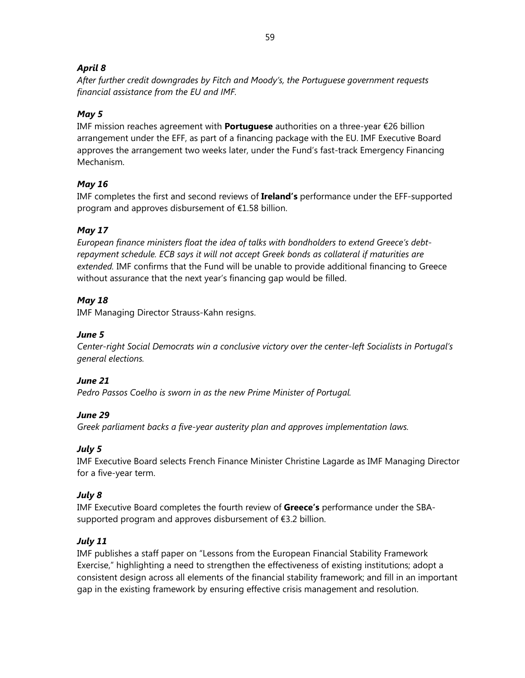## *April 8*

*After further credit downgrades by Fitch and Moody's, the Portuguese government requests financial assistance from the EU and IMF.* 

## *May 5*

IMF mission reaches agreement with **Portuguese** authorities on a three-year €26 billion arrangement under the EFF, as part of a financing package with the EU. IMF Executive Board approves the arrangement two weeks later, under the Fund's fast-track Emergency Financing Mechanism.

## *May 16*

IMF completes the first and second reviews of **Ireland's** performance under the EFF-supported program and approves disbursement of €1.58 billion.

## *May 17*

*European finance ministers float the idea of talks with bondholders to extend Greece's debtrepayment schedule. ECB says it will not accept Greek bonds as collateral if maturities are extended.* IMF confirms that the Fund will be unable to provide additional financing to Greece without assurance that the next year's financing gap would be filled.

## *May 18*

IMF Managing Director Strauss-Kahn resigns.

### *June 5*

*Center-right Social Democrats win a conclusive victory over the center-left Socialists in Portugal's general elections.* 

## *June 21*

*Pedro Passos Coelho is sworn in as the new Prime Minister of Portugal.* 

## *June 29*

*Greek parliament backs a five-year austerity plan and approves implementation laws.* 

## *July 5*

IMF Executive Board selects French Finance Minister Christine Lagarde as IMF Managing Director for a five-year term.

## *July 8*

IMF Executive Board completes the fourth review of **Greece's** performance under the SBAsupported program and approves disbursement of €3.2 billion.

## *July 11*

IMF publishes a staff paper on "Lessons from the European Financial Stability Framework Exercise," highlighting a need to strengthen the effectiveness of existing institutions; adopt a consistent design across all elements of the financial stability framework; and fill in an important gap in the existing framework by ensuring effective crisis management and resolution.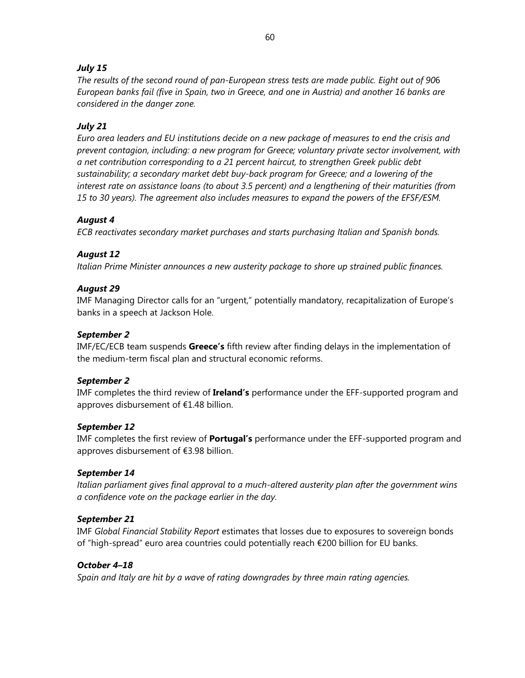### *July 15*

*The results of the second round of pan-European stress tests are made public. Eight out of 90*6 *European banks fail (five in Spain, two in Greece, and one in Austria) and another 16 banks are considered in the danger zone.* 

### *July 21*

*Euro area leaders and EU institutions decide on a new package of measures to end the crisis and prevent contagion, including: a new program for Greece; voluntary private sector involvement, with a net contribution corresponding to a 21 percent haircut, to strengthen Greek public debt sustainability; a secondary market debt buy-back program for Greece; and a lowering of the interest rate on assistance loans (to about 3.5 percent) and a lengthening of their maturities (from 15 to 30 years). The agreement also includes measures to expand the powers of the EFSF/ESM.* 

#### *August 4*

*ECB reactivates secondary market purchases and starts purchasing Italian and Spanish bonds.* 

#### *August 12*

*Italian Prime Minister announces a new austerity package to shore up strained public finances.* 

#### *August 29*

IMF Managing Director calls for an "urgent," potentially mandatory, recapitalization of Europe's banks in a speech at Jackson Hole.

#### *September 2*

IMF/EC/ECB team suspends **Greece's** fifth review after finding delays in the implementation of the medium-term fiscal plan and structural economic reforms.

#### *September 2*

IMF completes the third review of **Ireland's** performance under the EFF-supported program and approves disbursement of €1.48 billion.

#### *September 12*

IMF completes the first review of **Portugal's** performance under the EFF-supported program and approves disbursement of €3.98 billion.

#### *September 14*

*Italian parliament gives final approval to a much-altered austerity plan after the government wins a confidence vote on the package earlier in the day.* 

#### *September 21*

IMF *Global Financial Stability Report* estimates that losses due to exposures to sovereign bonds of "high-spread" euro area countries could potentially reach €200 billion for EU banks.

#### *October 4–18*

*Spain and Italy are hit by a wave of rating downgrades by three main rating agencies.*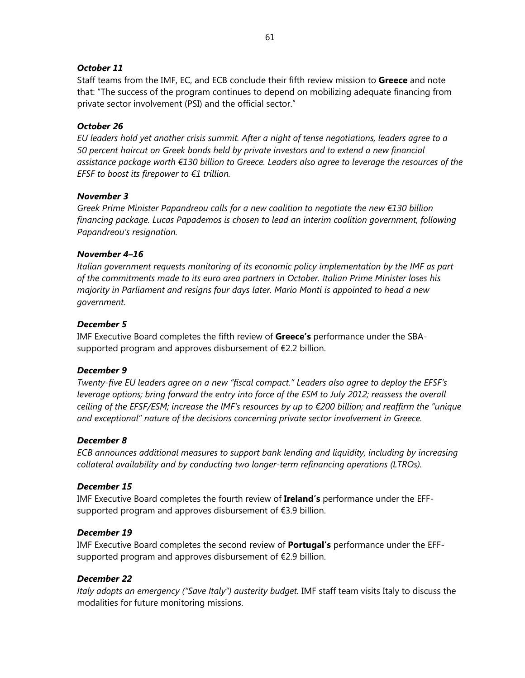#### *October 11*

Staff teams from the IMF, EC, and ECB conclude their fifth review mission to **Greece** and note that: "The success of the program continues to depend on mobilizing adequate financing from private sector involvement (PSI) and the official sector."

#### *October 26*

*EU leaders hold yet another crisis summit. After a night of tense negotiations, leaders agree to a 50 percent haircut on Greek bonds held by private investors and to extend a new financial assistance package worth €130 billion to Greece. Leaders also agree to leverage the resources of the EFSF to boost its firepower to €1 trillion.* 

#### *November 3*

*Greek Prime Minister Papandreou calls for a new coalition to negotiate the new €130 billion financing package. Lucas Papademos is chosen to lead an interim coalition government, following Papandreou's resignation.* 

#### *November 4–16*

*Italian government requests monitoring of its economic policy implementation by the IMF as part of the commitments made to its euro area partners in October. Italian Prime Minister loses his majority in Parliament and resigns four days later. Mario Monti is appointed to head a new government.* 

#### *December 5*

IMF Executive Board completes the fifth review of **Greece's** performance under the SBAsupported program and approves disbursement of €2.2 billion.

#### *December 9*

*Twenty-five EU leaders agree on a new "fiscal compact." Leaders also agree to deploy the EFSF's leverage options; bring forward the entry into force of the ESM to July 2012; reassess the overall ceiling of the EFSF/ESM; increase the IMF's resources by up to €200 billion; and reaffirm the "unique and exceptional" nature of the decisions concerning private sector involvement in Greece.* 

#### *December 8*

*ECB announces additional measures to support bank lending and liquidity, including by increasing collateral availability and by conducting two longer-term refinancing operations (LTROs).* 

#### *December 15*

IMF Executive Board completes the fourth review of **Ireland's** performance under the EFFsupported program and approves disbursement of €3.9 billion.

#### *December 19*

IMF Executive Board completes the second review of **Portugal's** performance under the EFFsupported program and approves disbursement of €2.9 billion.

#### *December 22*

*Italy adopts an emergency ("Save Italy") austerity budget.* IMF staff team visits Italy to discuss the modalities for future monitoring missions.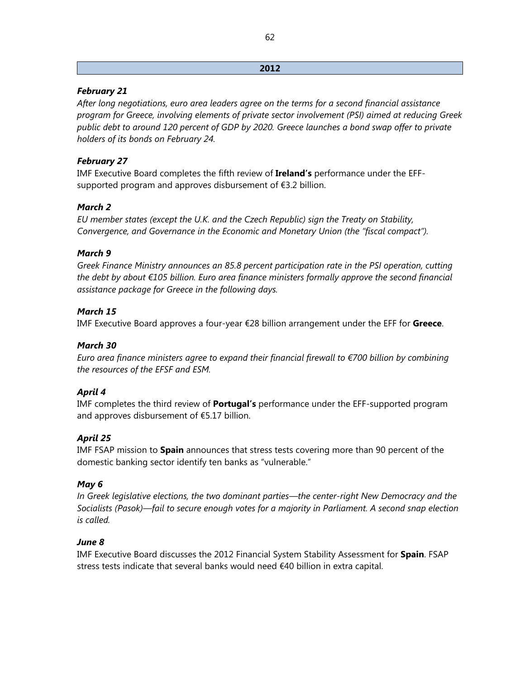#### **2012**

### *February 21*

*After long negotiations, euro area leaders agree on the terms for a second financial assistance program for Greece, involving elements of private sector involvement (PSI) aimed at reducing Greek public debt to around 120 percent of GDP by 2020. Greece launches a bond swap offer to private holders of its bonds on February 24.* 

### *February 27*

IMF Executive Board completes the fifth review of **Ireland's** performance under the EFFsupported program and approves disbursement of €3.2 billion.

### *March 2*

*EU member states (except the U.K. and the Czech Republic) sign the Treaty on Stability, Convergence, and Governance in the Economic and Monetary Union (the "fiscal compact").* 

### *March 9*

*Greek Finance Ministry announces an 85.8 percent participation rate in the PSI operation, cutting the debt by about €105 billion. Euro area finance ministers formally approve the second financial assistance package for Greece in the following days.* 

### *March 15*

IMF Executive Board approves a four-year €28 billion arrangement under the EFF for **Greece**.

#### *March 30*

*Euro area finance ministers agree to expand their financial firewall to €700 billion by combining the resources of the EFSF and ESM.* 

#### *April 4*

IMF completes the third review of **Portugal's** performance under the EFF-supported program and approves disbursement of €5.17 billion.

#### *April 25*

IMF FSAP mission to **Spain** announces that stress tests covering more than 90 percent of the domestic banking sector identify ten banks as "vulnerable."

#### *May 6*

*In Greek legislative elections, the two dominant parties—the center-right New Democracy and the Socialists (Pasok)—fail to secure enough votes for a majority in Parliament. A second snap election is called.* 

#### *June 8*

IMF Executive Board discusses the 2012 Financial System Stability Assessment for **Spain**. FSAP stress tests indicate that several banks would need €40 billion in extra capital.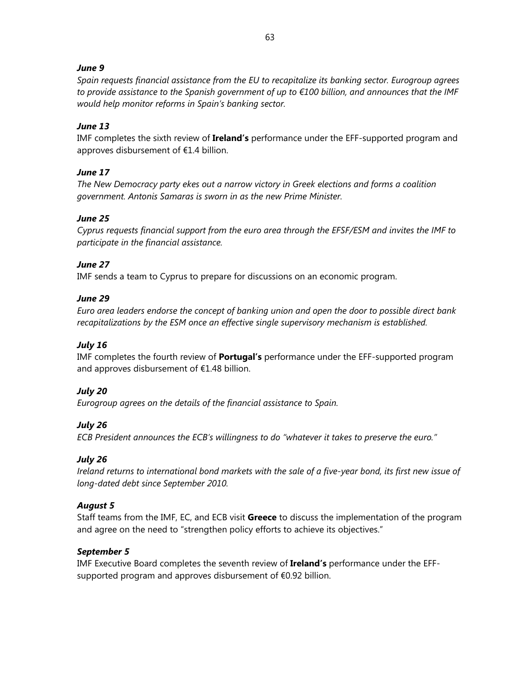### *June 9*

*Spain requests financial assistance from the EU to recapitalize its banking sector. Eurogroup agrees to provide assistance to the Spanish government of up to €100 billion, and announces that the IMF would help monitor reforms in Spain's banking sector.* 

### *June 13*

IMF completes the sixth review of **Ireland's** performance under the EFF-supported program and approves disbursement of €1.4 billion.

### *June 17*

*The New Democracy party ekes out a narrow victory in Greek elections and forms a coalition government. Antonis Samaras is sworn in as the new Prime Minister.* 

#### *June 25*

*Cyprus requests financial support from the euro area through the EFSF/ESM and invites the IMF to participate in the financial assistance.* 

### *June 27*

IMF sends a team to Cyprus to prepare for discussions on an economic program.

### *June 29*

*Euro area leaders endorse the concept of banking union and open the door to possible direct bank recapitalizations by the ESM once an effective single supervisory mechanism is established.* 

## *July 16*

IMF completes the fourth review of **Portugal's** performance under the EFF-supported program and approves disbursement of €1.48 billion.

## *July 20*

*Eurogroup agrees on the details of the financial assistance to Spain.* 

## *July 26*

*ECB President announces the ECB's willingness to do "whatever it takes to preserve the euro."* 

#### *July 26*

*Ireland returns to international bond markets with the sale of a five-year bond, its first new issue of long-dated debt since September 2010.* 

#### *August 5*

Staff teams from the IMF, EC, and ECB visit **Greece** to discuss the implementation of the program and agree on the need to "strengthen policy efforts to achieve its objectives."

#### *September 5*

IMF Executive Board completes the seventh review of **Ireland's** performance under the EFFsupported program and approves disbursement of €0.92 billion.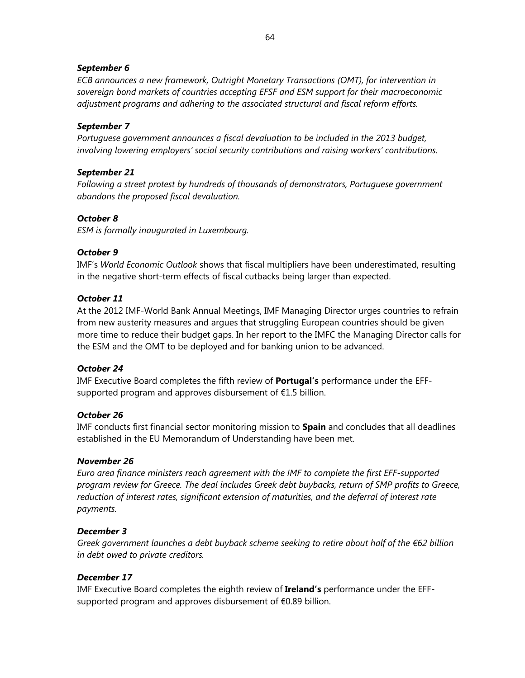#### *September 6*

*ECB announces a new framework, Outright Monetary Transactions (OMT), for intervention in sovereign bond markets of countries accepting EFSF and ESM support for their macroeconomic adjustment programs and adhering to the associated structural and fiscal reform efforts.* 

#### *September 7*

*Portuguese government announces a fiscal devaluation to be included in the 2013 budget, involving lowering employers' social security contributions and raising workers' contributions.* 

#### *September 21*

*Following a street protest by hundreds of thousands of demonstrators, Portuguese government abandons the proposed fiscal devaluation.* 

#### *October 8*

*ESM is formally inaugurated in Luxembourg.* 

### *October 9*

IMF's *World Economic Outlook* shows that fiscal multipliers have been underestimated, resulting in the negative short-term effects of fiscal cutbacks being larger than expected.

#### *October 11*

At the 2012 IMF-World Bank Annual Meetings, IMF Managing Director urges countries to refrain from new austerity measures and argues that struggling European countries should be given more time to reduce their budget gaps. In her report to the IMFC the Managing Director calls for the ESM and the OMT to be deployed and for banking union to be advanced.

#### *October 24*

IMF Executive Board completes the fifth review of **Portugal's** performance under the EFFsupported program and approves disbursement of  $E1.5$  billion.

#### *October 26*

IMF conducts first financial sector monitoring mission to **Spain** and concludes that all deadlines established in the EU Memorandum of Understanding have been met.

#### *November 26*

*Euro area finance ministers reach agreement with the IMF to complete the first EFF-supported program review for Greece. The deal includes Greek debt buybacks, return of SMP profits to Greece, reduction of interest rates, significant extension of maturities, and the deferral of interest rate payments.* 

#### *December 3*

*Greek government launches a debt buyback scheme seeking to retire about half of the €62 billion in debt owed to private creditors.* 

## *December 17*

IMF Executive Board completes the eighth review of **Ireland's** performance under the EFFsupported program and approves disbursement of €0.89 billion.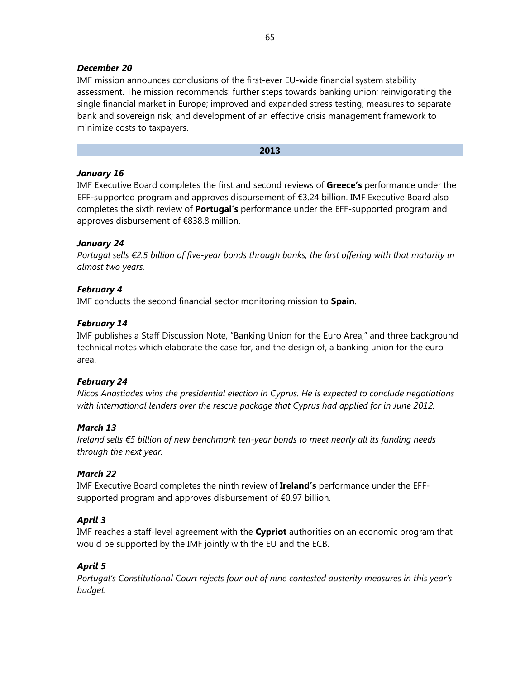### *December 20*

IMF mission announces conclusions of the first-ever EU-wide financial system stability assessment. The mission recommends: further steps towards banking union; reinvigorating the single financial market in Europe; improved and expanded stress testing; measures to separate bank and sovereign risk; and development of an effective crisis management framework to minimize costs to taxpayers.

#### **2013**

#### *January 16*

IMF Executive Board completes the first and second reviews of **Greece's** performance under the EFF-supported program and approves disbursement of €3.24 billion. IMF Executive Board also completes the sixth review of **Portugal's** performance under the EFF-supported program and approves disbursement of €838.8 million.

#### *January 24*

*Portugal sells €2.5 billion of five-year bonds through banks, the first offering with that maturity in almost two years.* 

### *February 4*

IMF conducts the second financial sector monitoring mission to **Spain**.

### *February 14*

IMF publishes a Staff Discussion Note, "Banking Union for the Euro Area," and three background technical notes which elaborate the case for, and the design of, a banking union for the euro area.

#### *February 24*

*Nicos Anastiades wins the presidential election in Cyprus. He is expected to conclude negotiations with international lenders over the rescue package that Cyprus had applied for in June 2012.* 

#### *March 13*

*Ireland sells €5 billion of new benchmark ten-year bonds to meet nearly all its funding needs through the next year.* 

## *March 22*

IMF Executive Board completes the ninth review of **Ireland's** performance under the EFFsupported program and approves disbursement of €0.97 billion.

## *April 3*

IMF reaches a staff-level agreement with the **Cypriot** authorities on an economic program that would be supported by the IMF jointly with the EU and the ECB.

## *April 5*

*Portugal's Constitutional Court rejects four out of nine contested austerity measures in this year's budget.*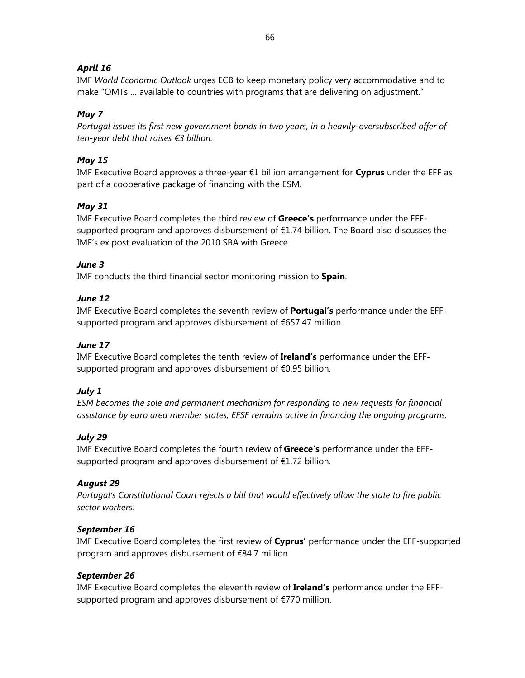## *April 16*

IMF *World Economic Outlook* urges ECB to keep monetary policy very accommodative and to make "OMTs … available to countries with programs that are delivering on adjustment."

## *May 7*

*Portugal issues its first new government bonds in two years, in a heavily-oversubscribed offer of ten-year debt that raises €3 billion.*

## *May 15*

IMF Executive Board approves a three-year €1 billion arrangement for **Cyprus** under the EFF as part of a cooperative package of financing with the ESM.

## *May 31*

IMF Executive Board completes the third review of **Greece's** performance under the EFFsupported program and approves disbursement of €1.74 billion. The Board also discusses the IMF's ex post evaluation of the 2010 SBA with Greece.

## *June 3*

IMF conducts the third financial sector monitoring mission to **Spain**.

## *June 12*

IMF Executive Board completes the seventh review of **Portugal's** performance under the EFFsupported program and approves disbursement of €657.47 million.

## *June 17*

IMF Executive Board completes the tenth review of **Ireland's** performance under the EFFsupported program and approves disbursement of €0.95 billion.

## *July 1*

*ESM becomes the sole and permanent mechanism for responding to new requests for financial assistance by euro area member states; EFSF remains active in financing the ongoing programs.* 

## *July 29*

IMF Executive Board completes the fourth review of **Greece's** performance under the EFFsupported program and approves disbursement of €1.72 billion.

## *August 29*

*Portugal's Constitutional Court rejects a bill that would effectively allow the state to fire public sector workers.* 

## *September 16*

IMF Executive Board completes the first review of **Cyprus'** performance under the EFF-supported program and approves disbursement of €84.7 million.

## *September 26*

IMF Executive Board completes the eleventh review of **Ireland's** performance under the EFFsupported program and approves disbursement of €770 million.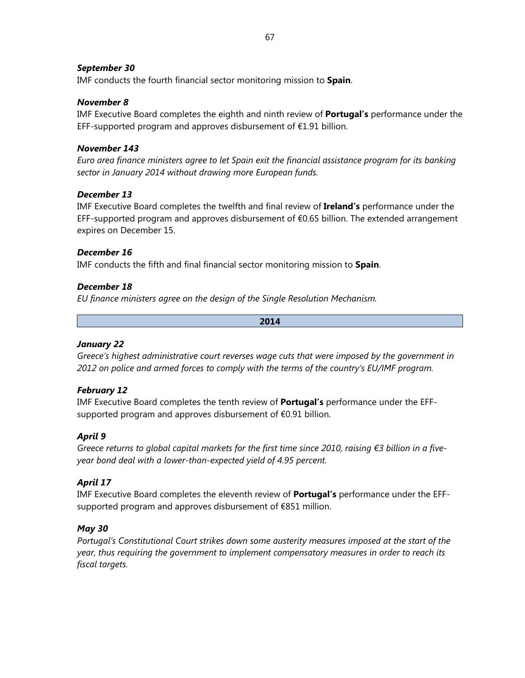### *September 30*

IMF conducts the fourth financial sector monitoring mission to **Spain**.

#### *November 8*

IMF Executive Board completes the eighth and ninth review of **Portugal's** performance under the EFF-supported program and approves disbursement of  $E1.91$  billion.

### *November 143*

*Euro area finance ministers agree to let Spain exit the financial assistance program for its banking sector in January 2014 without drawing more European funds.* 

#### *December 13*

IMF Executive Board completes the twelfth and final review of **Ireland's** performance under the EFF-supported program and approves disbursement of  $\epsilon$ 0.65 billion. The extended arrangement expires on December 15.

### *December 16*

IMF conducts the fifth and final financial sector monitoring mission to **Spain**.

#### *December 18*

*EU finance ministers agree on the design of the Single Resolution Mechanism.* 

**2014** 

#### *January 22*

*Greece's highest administrative court reverses wage cuts that were imposed by the government in 2012 on police and armed forces to comply with the terms of the country's EU/IMF program.* 

## *February 12*

IMF Executive Board completes the tenth review of **Portugal's** performance under the EFFsupported program and approves disbursement of €0.91 billion.

## *April 9*

*Greece returns to global capital markets for the first time since 2010, raising €3 billion in a fiveyear bond deal with a lower-than-expected yield of 4.95 percent.* 

## *April 17*

IMF Executive Board completes the eleventh review of **Portugal's** performance under the EFFsupported program and approves disbursement of €851 million.

#### *May 30*

*Portugal's Constitutional Court strikes down some austerity measures imposed at the start of the year, thus requiring the government to implement compensatory measures in order to reach its fiscal targets.*